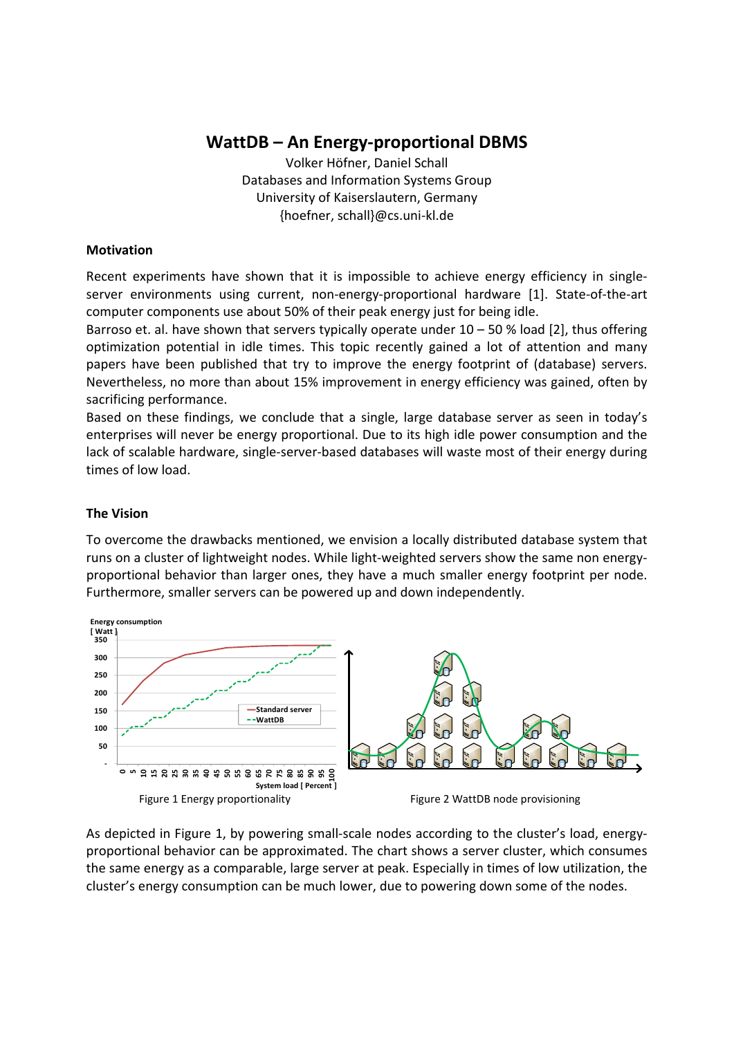# **WattDB – An Energy‐proportional DBMS**

Volker Höfner, Daniel Schall Databases and Information Systems Group University of Kaiserslautern, Germany {hoefner, schall}@cs.uni‐kl.de

#### **Motivation**

Recent experiments have shown that it is impossible to achieve energy efficiency in singleserver environments using current, non-energy-proportional hardware [1]. State-of-the-art computer components use about 50% of their peak energy just for being idle.

Barroso et. al. have shown that servers typically operate under  $10 - 50$  % load [2], thus offering optimization potential in idle times. This topic recently gained a lot of attention and many papers have been published that try to improve the energy footprint of (database) servers. Nevertheless, no more than about 15% improvement in energy efficiency was gained, often by sacrificing performance.

Based on these findings, we conclude that a single, large database server as seen in today's enterprises will never be energy proportional. Due to its high idle power consumption and the lack of scalable hardware, single‐server‐based databases will waste most of their energy during times of low load.

#### **The Vision**

To overcome the drawbacks mentioned, we envision a locally distributed database system that runs on a cluster of lightweight nodes. While light‐weighted servers show the same non energy‐ proportional behavior than larger ones, they have a much smaller energy footprint per node. Furthermore, smaller servers can be powered up and down independently.



As depicted in Figure 1, by powering small‐scale nodes according to the cluster's load, energy‐ proportional behavior can be approximated. The chart shows a server cluster, which consumes the same energy as a comparable, large server at peak. Especially in times of low utilization, the cluster's energy consumption can be much lower, due to powering down some of the nodes.